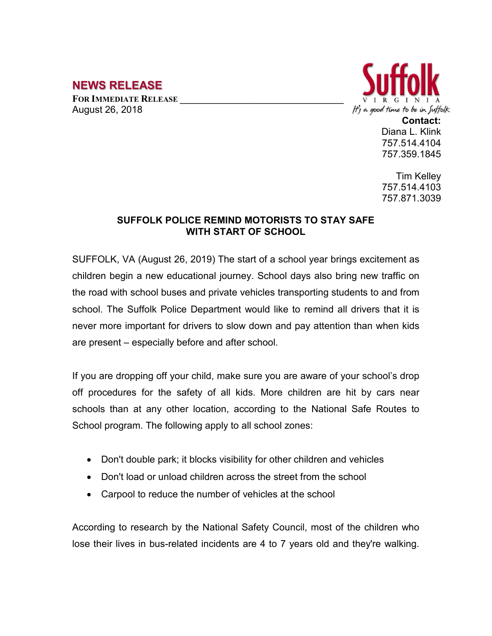## **NEWS RELEASE**

FOR **IMMEDIATE RELEASE** August 26, 2018



**Contact:** Diana L. Klink 757.514.4104 757.359.1845

Tim Kelley 757.514.4103 757.871.3039

## **SUFFOLK POLICE REMIND MOTORISTS TO STAY SAFE WITH START OF SCHOOL**

SUFFOLK, VA (August 26, 2019) The start of a school year brings excitement as children begin a new educational journey. School days also bring new traffic on the road with school buses and private vehicles transporting students to and from school. The Suffolk Police Department would like to remind all drivers that it is never more important for drivers to slow down and pay attention than when kids are present – especially before and after school.

If you are dropping off your child, make sure you are aware of your school's drop off procedures for the safety of all kids. More children are hit by cars near schools than at any other location, according to the National Safe Routes to School program. The following apply to all school zones:

- Don't double park; it blocks visibility for other children and vehicles
- Don't load or unload children across the street from the school
- Carpool to reduce the number of vehicles at the school

According to research by the National Safety Council, most of the children who lose their lives in bus-related incidents are 4 to 7 years old and they're walking.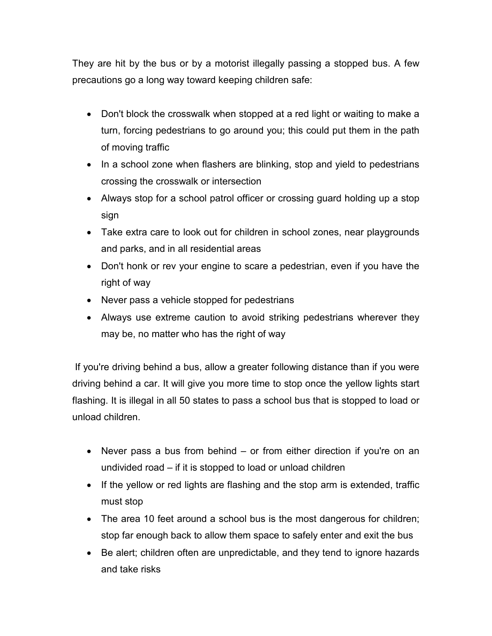They are hit by the bus or by a motorist illegally passing a stopped bus. A few precautions go a long way toward keeping children safe:

- Don't block the crosswalk when stopped at a red light or waiting to make a turn, forcing pedestrians to go around you; this could put them in the path of moving traffic
- In a school zone when flashers are blinking, stop and yield to pedestrians crossing the crosswalk or intersection
- Always stop for a school patrol officer or crossing guard holding up a stop sign
- Take extra care to look out for children in school zones, near playgrounds and parks, and in all residential areas
- Don't honk or rev your engine to scare a pedestrian, even if you have the right of way
- Never pass a vehicle stopped for pedestrians
- Always use extreme caution to avoid striking pedestrians wherever they may be, no matter who has the right of way

If you're driving behind a bus, allow a greater following distance than if you were driving behind a car. It will give you more time to stop once the yellow lights start flashing. It is illegal in all 50 states to pass a school bus that is stopped to load or unload children.

- Never pass a bus from behind or from either direction if you're on an undivided road – if it is stopped to load or unload children
- If the yellow or red lights are flashing and the stop arm is extended, traffic must stop
- The area 10 feet around a school bus is the most dangerous for children; stop far enough back to allow them space to safely enter and exit the bus
- Be alert; children often are unpredictable, and they tend to ignore hazards and take risks